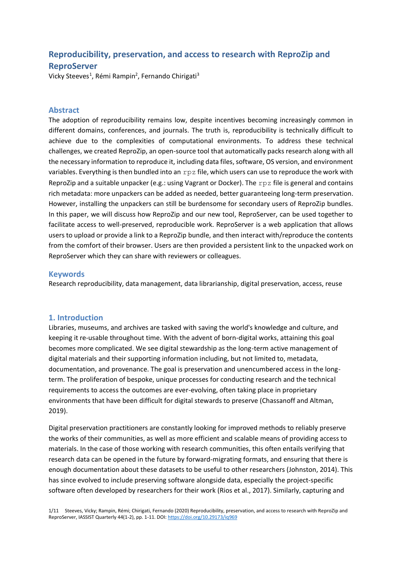# **Reproducibility, preservation, and access to research with ReproZip and ReproServer**

Vicky Steeves<sup>1</sup>, Rémi Rampin<sup>2</sup>, Fernando Chirigati<sup>3</sup>

## **Abstract**

The adoption of reproducibility remains low, despite incentives becoming increasingly common in different domains, conferences, and journals. The truth is, reproducibility is technically difficult to achieve due to the complexities of computational environments. To address these technical challenges, we created ReproZip, an open-source tool that automatically packs research along with all the necessary information to reproduce it, including data files, software, OS version, and environment variables. Everything is then bundled into an  $r$ pz file, which users can use to reproduce the work with ReproZip and a suitable unpacker (e.g.: using Vagrant or Docker). The rpz file is general and contains rich metadata: more unpackers can be added as needed, better guaranteeing long-term preservation. However, installing the unpackers can still be burdensome for secondary users of ReproZip bundles. In this paper, we will discuss how ReproZip and our new tool, ReproServer, can be used together to facilitate access to well-preserved, reproducible work. ReproServer is a web application that allows users to upload or provide a link to a ReproZip bundle, and then interact with/reproduce the contents from the comfort of their browser. Users are then provided a persistent link to the unpacked work on ReproServer which they can share with reviewers or colleagues.

## **Keywords**

Research reproducibility, data management, data librarianship, digital preservation, access, reuse

## **1. Introduction**

Libraries, museums, and archives are tasked with saving the world's knowledge and culture, and keeping it re-usable throughout time. With the advent of born-digital works, attaining this goal becomes more complicated. We see digital stewardship as the long-term active management of digital materials and their supporting information including, but not limited to, metadata, documentation, and provenance. The goal is preservation and unencumbered access in the longterm. The proliferation of bespoke, unique processes for conducting research and the technical requirements to access the outcomes are ever-evolving, often taking place in proprietary environments that have been difficult for digital stewards to preserve (Chassanoff and Altman, 2019).

Digital preservation practitioners are constantly looking for improved methods to reliably preserve the works of their communities, as well as more efficient and scalable means of providing access to materials. In the case of those working with research communities, this often entails verifying that research data can be opened in the future by forward-migrating formats, and ensuring that there is enough documentation about these datasets to be useful to other researchers (Johnston, 2014). This has since evolved to include preserving software alongside data, especially the project-specific software often developed by researchers for their work (Rios et al., 2017). Similarly, capturing and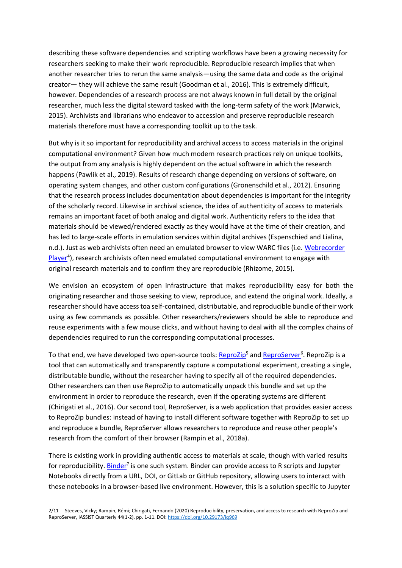describing these software dependencies and scripting workflows have been a growing necessity for researchers seeking to make their work reproducible. Reproducible research implies that when another researcher tries to rerun the same analysis—using the same data and code as the original creator— they will achieve the same result (Goodman et al., 2016). This is extremely difficult, however. Dependencies of a research process are not always known in full detail by the original researcher, much less the digital steward tasked with the long-term safety of the work (Marwick, 2015). Archivists and librarians who endeavor to accession and preserve reproducible research materials therefore must have a corresponding toolkit up to the task.

But why is it so important for reproducibility and archival access to access materials in the original computational environment? Given how much modern research practices rely on unique toolkits, the output from any analysis is highly dependent on the actual software in which the research happens (Pawlik et al., 2019). Results of research change depending on versions of software, on operating system changes, and other custom configurations (Gronenschild et al., 2012). Ensuring that the research process includes documentation about dependencies is important for the integrity of the scholarly record. Likewise in archival science, the idea of authenticity of access to materials remains an important facet of both analog and digital work. Authenticity refers to the idea that materials should be viewed/rendered exactly as they would have at the time of their creation, and has led to large-scale efforts in emulation services within digital archives (Espenschied and Lialina, n.d.). Just as web archivists often need an emulated browser to view WARC files (i.e. [Webrecorder](https://webrecorder.io/)  Player<sup>4</sup>), research archivists often need emulated computational environment to engage with [original research materials and to confirm they are reproducible \(Rhizome, 2015\).](https://webrecorder.io/)

We envision an ecosystem of open infrastructure that makes reproducibility easy for both the originating researcher and those seeking to view, reproduce, and extend the original work. Ideally, a researcher should have access toa self-contained, distributable, and reproducible bundle of their work using as few commands as possible. Other researchers/reviewers should be able to reproduce and reuse experiments with a few mouse clicks, and without having to deal with all the complex chains of dependencies required to run the corresponding computational processes.

To that end, we have develo[p](https://www.reprozip.org/)ed two open-source tools: <u>ReproZip5</u> and <u>ReproServer</u><sup>[6](https://www.reprozip.org/)</sup>. ReproZip is a [tool that can automatically and transparently capture a computational experiment, creating a single,](https://www.reprozip.org/)  [distributable bundle, without the researcher having to specify all of the required dependencies.](https://server.reprozip.org/)  [Other researchers can then use ReproZip to automatically unpack this bundle and set up the](https://server.reprozip.org/)  [environment in order to reproduce the research, even if the operating systems are different](https://server.reprozip.org/)  [\(Chirigati et al., 2016\). Our second tool, ReproServer, is a web application that provides easier access](https://server.reprozip.org/)  [to ReproZip bundles: instead of having to install different software together with ReproZip to set up](https://server.reprozip.org/)  [and reproduce a bundle, ReproServer allows researchers to reproduce and reuse other people's](https://server.reprozip.org/)  [research from the comfort of their browser \(Rampin et al., 2018a\).](https://server.reprozip.org/)

There is existing work in providing authentic access to materials at scale, though with varied results fo[r](https://mybinder.org/) reproducibility. **Binder<sup>7</sup> is one such system. Binder can provide access to R scripts and Jupyter** [Notebooks directly from a URL, DOI, or GitLab or GitHub repository, allowing users to interact with](https://mybinder.org/)  [these notebooks in a browser-based live environment. However, this is a solution specific to Jupyter](https://mybinder.org/)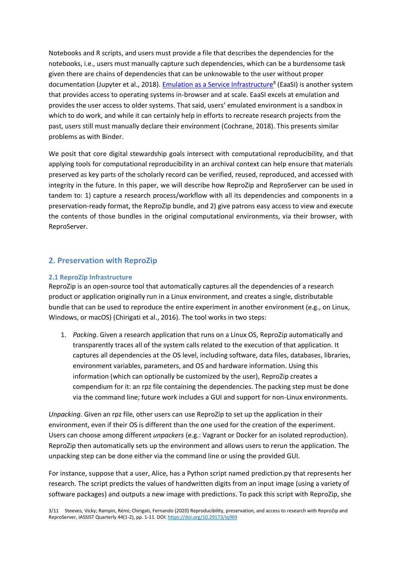[Notebooks and R scripts, and users must provide a file that describes the dependencies for the](https://mybinder.org/)  [notebooks, i.e., users must manually capture such dependencies, which can be a burdensome task](https://mybinder.org/)  [given there are chains of dependencies that can be unknowable to the user without proper](https://mybinder.org/)  [documentation \(Jupyter et al., 2018\). Emulation as a Service Infrastructure](https://mybinder.org/)<sup>[8](https://www.softwarepreservationnetwork.org/eaasi/)</sup> (EaaSI) is another system [that provides access to operating systems in-browser and at scale. EaaSI excels at emulation and](https://www.softwarepreservationnetwork.org/eaasi/)  [provides the user access to older systems. That said, users' emulated environment is a sandbox in](https://www.softwarepreservationnetwork.org/eaasi/)  [which to do work, and while it can certainly help in efforts](https://www.softwarepreservationnetwork.org/eaasi/) to recreate research projects from the [past, users still must manually declare their environment \(Cochrane, 2018\). This presents similar](https://www.softwarepreservationnetwork.org/eaasi/)  [problems as with Binder.](https://www.softwarepreservationnetwork.org/eaasi/)

We posit that core digital stewardship goals intersect with computational reproducibility, and that applying tools for computational reproducibility in an archival context can help ensure that materials preserved as key parts of the scholarly record can be verified, reused, reproduced, and accessed with integrity in the future. In this paper, we will describe how ReproZip and ReproServer can be used in tandem to: 1) capture a research process/workflow with all its dependencies and components in a preservation-ready format, the ReproZip bundle, and 2) give patrons easy access to view and execute the contents of those bundles in the original computational environments, via their browser, with ReproServer.

## **2. Preservation with ReproZip**

## **2.1 ReproZip Infrastructure**

ReproZip is an open-source tool that automatically captures all the dependencies of a research product or application originally run in a Linux environment, and creates a single, distributable bundle that can be used to reproduce the entire experiment in another environment (e.g., on Linux, Windows, or macOS) (Chirigati et al., 2016). The tool works in two steps:

1. *Packing*. Given a research application that runs on a Linux OS, ReproZip automatically and transparently traces all of the system calls related to the execution of that application. It captures all dependencies at the OS level, including software, data files, databases, libraries, environment variables, parameters, and OS and hardware information. Using this information (which can optionally be customized by the user), ReproZip creates a compendium for it: an rpz file containing the dependencies. The packing step must be done via the command line; future work includes a GUI and support for non-Linux environments.

*Unpacking*. Given an rpz file, other users can use ReproZip to set up the application in their environment, even if their OS is different than the one used for the creation of the experiment. Users can choose among different *unpackers* (e.g.: Vagrant or Docker for an isolated reproduction). ReproZip then automatically sets up the environment and allows users to rerun the application. The unpacking step can be done either via the command line or using the provided GUI.

For instance, suppose that a user, Alice, has a Python script named prediction.py that represents her research. The script predicts the values of handwritten digits from an input image (using a variety of software packages) and outputs a new image with predictions. To pack this script with ReproZip, she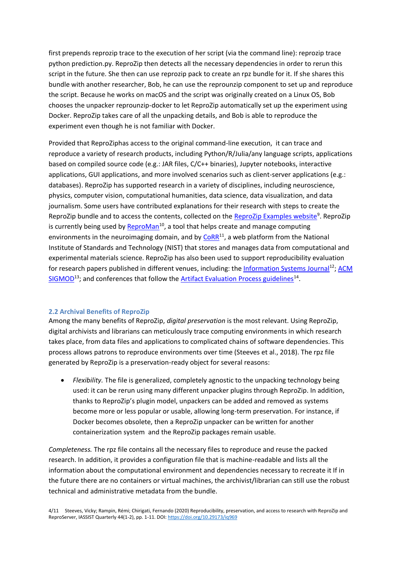first prepends reprozip trace to the execution of her script (via the command line): reprozip trace python prediction.py. ReproZip then detects all the necessary dependencies in order to rerun this script in the future. She then can use reprozip pack to create an rpz bundle for it. If she shares this bundle with another researcher, Bob, he can use the reprounzip component to set up and reproduce the script. Because he works on macOS and the script was originally created on a Linux OS, Bob chooses the unpacker reprounzip-docker to let ReproZip automatically set up the experiment using Docker. ReproZip takes care of all the unpacking details, and Bob is able to reproduce the experiment even though he is not familiar with Docker.

Provided that ReproZiphas access to the original command-line execution, it can trace and reproduce a variety of research products, including Python/R/Julia/any language scripts, applications based on compiled source code (e.g.: JAR files, C/C++ binaries), Jupyter notebooks, interactive applications, GUI applications, and more involved scenarios such as client-server applications (e.g.: databases). ReproZip has supported research in a variety of disciplines, including neuroscience, physics, computer vision, computational humanities, data science, data visualization, and data journalism. Some users have contributed explanations for their research with steps to create the ReproZip bundle and to access the contents, collected on the **ReproZip Examples website**<sup>9</sup>[.](https://examples.reprozip.org/) ReproZip is currently being used by  $ReproMan<sup>10</sup>$  $ReproMan<sup>10</sup>$  $ReproMan<sup>10</sup>$ , a tool that helps create and manage computing environments in the neuroimaging domain, and by  $COR<sup>11</sup>$  $COR<sup>11</sup>$  $COR<sup>11</sup>$ , a web platform from the National [Institute of Standards and Technology \(NIST\) that stores and manages data from computational and](https://www.nist.gov/programs-projects/cloud-reproducible-records)  [experimental materials science. ReproZip has also been used to support reproducibility evaluation](https://www.nist.gov/programs-projects/cloud-reproducible-records)  [for research papers published in different venues, including: the Information Systems Journal](https://www.nist.gov/programs-projects/cloud-reproducible-records)<sup>[12](https://www.journals.elsevier.com/information-systems/)</sup>; ACM SIGMOD<sup>[13](http://db-reproducibility.seas.harvard.edu/)</sup>; and conferences that follow the **Artifact Evaluation Process guidelines**<sup>[14](https://www.artifact-eval.org/guidelines.html)</sup>.

#### **2.2 Archival Benefits of ReproZip**

Among the many benefits of ReproZip, *digital preservation* is the most relevant. Using ReproZip, digital archivists and librarians can meticulously trace computing environments in which research takes place, from data files and applications to complicated chains of software dependencies. This process allows patrons to reproduce environments over time (Steeves et al., 2018). The rpz file generated by ReproZip is a preservation-ready object for several reasons:

• *Flexibility.* The file is generalized, completely agnostic to the unpacking technology being used: it can be rerun using many different unpacker plugins through ReproZip. In addition, thanks to ReproZip's plugin model, unpackers can be added and removed as systems become more or less popular or usable, allowing long-term preservation. For instance, if Docker becomes obsolete, then a ReproZip unpacker can be written for another containerization system and the ReproZip packages remain usable.

*Completeness.* The rpz file contains all the necessary files to reproduce and reuse the packed research. In addition, it provides a configuration file that is machine-readable and lists all the information about the computational environment and dependencies necessary to recreate it If in the future there are no containers or virtual machines, the archivist/librarian can still use the robust technical and administrative metadata from the bundle.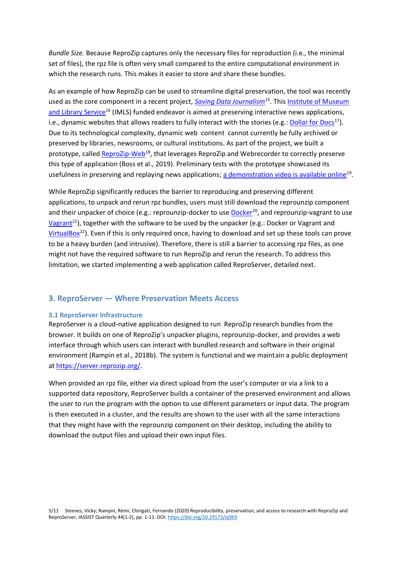*Bundle Size.* Because ReproZip captures only the necessary files for reproduction (i.e., the minimal set of files), the rpz file is often very small compared to the entire computational environment in which the research runs. This makes it easier to store and share these bundles.

As an example of how ReproZip can be used to streamline digital preservation, the tool was recently used as the core component in a recent project, *Saving Data Journalism[15](https://savingjournalism.reprozip.org/)*[. This Institute of Museum](https://savingjournalism.reprozip.org/)  and Library Service<sup>[16](https://www.imls.gov/)</sup> (IMLS) funded endeavor is aimed at preserving interactive news applications, [i.e., dynamic websites that allows readers to fully interact with the stories \(e.g.: Dollar for Docs](https://www.imls.gov/)<sup>[17](https://www.imls.gov/)</sup>). [Due to its technological complexity, dynamic web content cannot currently be fully archived or](https://www.imls.gov/)  [preserved by libraries, newsrooms, or cultural institutions. As part of the project, we built a](https://projects.propublica.org/docdollars/)  prototype, called ReproZip-Web<sup>[18](https://github.com/reprozip-news-apps/reprozip-web)</sup>, that leverages ReproZip and Webrecorder to correctly preserve [this type of application \(Boss et al., 2019\). Preliminary tests with the prototype showcased its](https://github.com/reprozip-news-apps/reprozip-web)  [usefulness in preserving and replaying news applications; a demonstration video is available online](https://github.com/reprozip-news-apps/reprozip-web)<sup>[19](https://github.com/reprozip-news-apps/reprozip-web)</sup>.

While ReproZip significantly reduces the barrier to reproducing and preserving different applications, to unpack and rerun rpz bundles, users must still download the reprounzip component and their unpacker of choice (e.g.: reprounzip-docker to use Docker<sup>[20](https://www.docker.com/)</sup>, and reprounzip-vagrant to use Vagrant<sup>[21](https://www.vagrantup.com/)</sup>), together with the software to be used by the unpacker (e.g.: Docker or Vagrant and VirtualBox<sup>[22](https://www.virtualbox.org/)</sup>). Even if this is only required once, having to download and set up these tools can prove [to be a heavy burden \(and intrusive\). Therefore, there is still a barrier to accessing rpz files, as one](https://www.virtualbox.org/)  [might not have the required software to run ReproZip and rerun the research. To address this](https://www.virtualbox.org/)  [limitation, we started implementing a web application called ReproServer, detailed next.](https://www.virtualbox.org/)

## **3. ReproServer — Where Preservation Meets Access**

#### **3.1 ReproServer Infrastructure**

ReproServer is a cloud-native application designed to run ReproZip research bundles from the browser. It builds on one of ReproZip's unpacker plugins, reprounzip-docker, and provides a web interface through which users can interact with bundled research and software in their original environment (Rampin et al., 2018b). The system is functional and we maintain a public deployment at [https://server.reprozip.org/.](https://server.reprozip.org/)

When provided an rpz file, either via direct upload from the user's computer or via a link to a supported data repository, ReproServer builds a container of the preserved environment and allows the user to run the program with the option to use different parameters or input data. The program is then executed in a cluster, and the results are shown to the user with all the same interactions that they might have with the reprounzip component on their desktop, including the ability to download the output files and upload their own input files.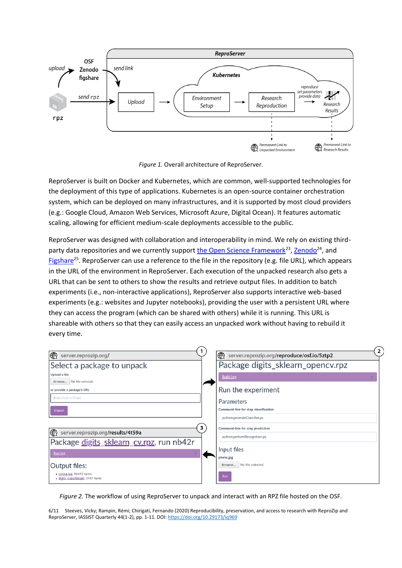

*Figure 1.* Overall architecture of ReproServer.

ReproServer is built on Docker and Kubernetes, which are common, well-supported technologies for the deployment of this type of applications. Kubernetes is an open-source container orchestration system, which can be deployed on many infrastructures, and it is supported by most cloud providers (e.g.: Google Cloud, Amazon Web Services, Microsoft Azure, Digital Ocean). It features automatic scaling, allowing for efficient medium-scale deployments accessible to the public.

ReproServer was designed with collaboration and interoperability in mind. We rely on existing thirdparty data repositories and we currently support [the Open Science Framework](https://osf.io/)<sup>[23](https://osf.io/)</sup>[, Zenodo](https://osf.io/)<sup>[24](https://osf.io/)</sup>, and Figshare<sup>[25](https://figshare.com/)</sup>. ReproServer can use a reference to the file in the repository (e.g. file URL), which appears [in the URL of the environment in ReproServer. Each execution of the unpacked research also gets a](https://figshare.com/)  [URL that can be sent to others to show the results and retrieve output files. In addition to batch](https://figshare.com/)  [experiments \(i.e., non-interactive applications\), ReproServer also supports interactive web-based](https://figshare.com/)  [experiments \(e.g.: websites and Jupyter notebooks\), providing the user with a persistent URL where](https://figshare.com/)  [they can access the program \(which can be shared with others\) while it is running. This URL is](https://figshare.com/)  [shareable with others so that they can easily access an unpacked work without having to rebuild it](https://figshare.com/)  [every time.](https://figshare.com/)

| ⊕<br>server.reprozip.org/                                        | $\mathbf{z}$<br>€<br>server.reprozip.org/reproduce/osf.io/5ztp2 |
|------------------------------------------------------------------|-----------------------------------------------------------------|
| Select a package to unpack                                       | Package digits_sklearn_opencv.rpz                               |
| Upload a file<br>No file selected.<br>Browse                     | <b>Build log</b>                                                |
| or provide a package's URL                                       | Run the experiment                                              |
| https://osf.io/5ztp2                                             | Parameters                                                      |
| <b>Unpack</b>                                                    | Command-line for step classification                            |
|                                                                  | python generateClassifier.py                                    |
| 3<br> ⊕<br>server.reprozip.org/results/4t59a                     | Command-line for step prediction                                |
| Package digits_sklearn_cv.rpz, run nb42r                         | python performRecognition.py                                    |
| Run log                                                          | Input files                                                     |
|                                                                  | photo.jpg                                                       |
| Output files:                                                    | No file selected.<br>Browse                                     |
| · output.jpg, 96692 bytes<br>· digits_classifier.pkl, 3487 bytes | Run                                                             |

*Figure 2.* The workflow of using ReproServer to unpack and interact with an RPZ file hosted on the OSF.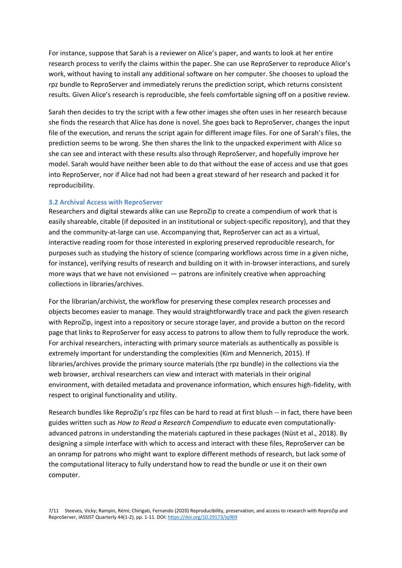For instance, suppose that Sarah is a reviewer on Alice's paper, and wants to look at her entire research process to verify the claims within the paper. She can use ReproServer to reproduce Alice's work, without having to install any additional software on her computer. She chooses to upload the rpz bundle to ReproServer and immediately reruns the prediction script, which returns consistent results. Given Alice's research is reproducible, she feels comfortable signing off on a positive review.

Sarah then decides to try the script with a few other images she often uses in her research because she finds the research that Alice has done is novel. She goes back to ReproServer, changes the input file of the execution, and reruns the script again for different image files. For one of Sarah's files, the prediction seems to be wrong. She then shares the link to the unpacked experiment with Alice so she can see and interact with these results also through ReproServer, and hopefully improve her model. Sarah would have neither been able to do that without the ease of access and use that goes into ReproServer, nor if Alice had not had been a great steward of her research and packed it for reproducibility.

#### **3.2 Archival Access with ReproServer**

Researchers and digital stewards alike can use ReproZip to create a compendium of work that is easily shareable, citable (if deposited in an institutional or subject-specific repository), and that they and the community-at-large can use. Accompanying that, ReproServer can act as a virtual, interactive reading room for those interested in exploring preserved reproducible research, for purposes such as studying the history of science (comparing workflows across time in a given niche, for instance), verifying results of research and building on it with in-browser interactions, and surely more ways that we have not envisioned — patrons are infinitely creative when approaching collections in libraries/archives.

For the librarian/archivist, the workflow for preserving these complex research processes and objects becomes easier to manage. They would straightforwardly trace and pack the given research with ReproZip, ingest into a repository or secure storage layer, and provide a button on the record page that links to ReproServer for easy access to patrons to allow them to fully reproduce the work. For archival researchers, interacting with primary source materials as authentically as possible is extremely important for understanding the complexities (Kim and Mennerich, 2015). If libraries/archives provide the primary source materials (the rpz bundle) in the collections via the web browser, archival researchers can view and interact with materials in their original environment, with detailed metadata and provenance information, which ensures high-fidelity, with respect to original functionality and utility.

Research bundles like ReproZip's rpz files can be hard to read at first blush -- in fact, there have been guides written such as *How to Read a Research Compendium* to educate even computationallyadvanced patrons in understanding the materials captured in these packages (Nüst et al., 2018). By designing a simple interface with which to access and interact with these files, ReproServer can be an onramp for patrons who might want to explore different methods of research, but lack some of the computational literacy to fully understand how to read the bundle or use it on their own computer.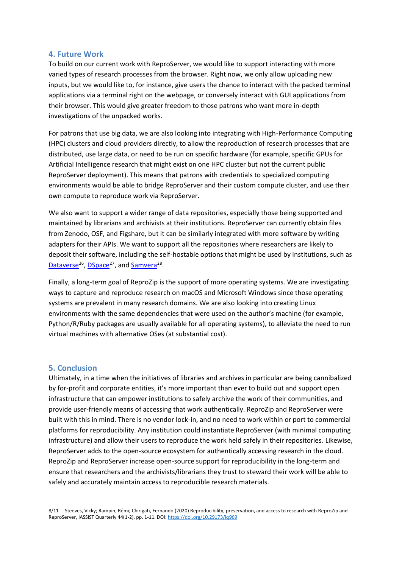## **4. Future Work**

To build on our current work with ReproServer, we would like to support interacting with more varied types of research processes from the browser. Right now, we only allow uploading new inputs, but we would like to, for instance, give users the chance to interact with the packed terminal applications via a terminal right on the webpage, or conversely interact with GUI applications from their browser. This would give greater freedom to those patrons who want more in-depth investigations of the unpacked works.

For patrons that use big data, we are also looking into integrating with High-Performance Computing (HPC) clusters and cloud providers directly, to allow the reproduction of research processes that are distributed, use large data, or need to be run on specific hardware (for example, specific GPUs for Artificial Intelligence research that might exist on one HPC cluster but not the current public ReproServer deployment). This means that patrons with credentials to specialized computing environments would be able to bridge ReproServer and their custom compute cluster, and use their own compute to reproduce work via ReproServer.

We also want to support a wider range of data repositories, especially those being supported and maintained by librarians and archivists at their institutions. ReproServer can currently obtain files from Zenodo, OSF, and Figshare, but it can be similarly integrated with more software by writing adapters for their APIs. We want to support all the repositories where researchers are likely to deposit their software, including the self-hostable options that might be used by institutions, such as Dataverse<sup>[26](https://dataverse.org/)</sup>, DSpace<sup>[27](https://dataverse.org/)</sup>[, and Samvera](https://dataverse.org/)<sup>[28](https://dataverse.org/)</sup>.

Finally, a long-term goal of ReproZip is the support of more operating systems. We are investigating ways to capture and reproduce research on macOS and Microsoft Windows since those operating systems are prevalent in many research domains. We are also looking into creating Linux environments with the same dependencies that were used on the author's machine (for example, Python/R/Ruby packages are usually available for all operating systems), to alleviate the need to run virtual machines with alternative OSes (at substantial cost).

## **5. Conclusion**

Ultimately, in a time when the initiatives of libraries and archives in particular are being cannibalized by for-profit and corporate entities, it's more important than ever to build out and support open infrastructure that can empower institutions to safely archive the work of their communities, and provide user-friendly means of accessing that work authentically. ReproZip and ReproServer were built with this in mind. There is no vendor lock-in, and no need to work within or port to commercial platforms for reproducibility. Any institution could instantiate ReproServer (with minimal computing infrastructure) and allow their users to reproduce the work held safely in their repositories. Likewise, ReproServer adds to the open-source ecosystem for authentically accessing research in the cloud. ReproZip and ReproServer increase open-source support for reproducibility in the long-term and ensure that researchers and the archivists/librarians they trust to steward their work will be able to safely and accurately maintain access to reproducible research materials.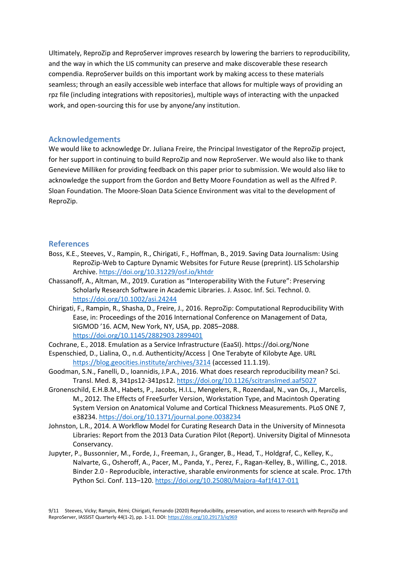Ultimately, ReproZip and ReproServer improves research by lowering the barriers to reproducibility, and the way in which the LIS community can preserve and make discoverable these research compendia. ReproServer builds on this important work by making access to these materials seamless; through an easily accessible web interface that allows for multiple ways of providing an rpz file (including integrations with repositories), multiple ways of interacting with the unpacked work, and open-sourcing this for use by anyone/any institution.

## **Acknowledgements**

We would like to acknowledge Dr. Juliana Freire, the Principal Investigator of the ReproZip project, for her support in continuing to build ReproZip and now ReproServer. We would also like to thank Genevieve Milliken for providing feedback on this paper prior to submission. We would also like to acknowledge the support from the Gordon and Betty Moore Foundation as well as the Alfred P. Sloan Foundation. The Moore-Sloan Data Science Environment was vital to the development of ReproZip.

## **References**

- Boss, K.E., Steeves, V., Rampin, R., Chirigati, F., Hoffman, B., 2019. Saving Data Journalism: Using ReproZip-Web to Capture Dynamic Websites for Future Reuse (preprint). LIS Scholarship Archive.<https://doi.org/10.31229/osf.io/khtdr>
- Chassanoff, A., Altman, M., 2019. Curation as "Interoperability With the Future": Preserving Scholarly Research Software in Academic Libraries. J. Assoc. Inf. Sci. Technol. 0. <https://doi.org/10.1002/asi.24244>
- Chirigati, F., Rampin, R., Shasha, D., Freire, J., 2016. ReproZip: Computational Reproducibility With Ease, in: Proceedings of the 2016 International Conference on Management of Data, SIGMOD '16. ACM, New York, NY, USA, pp. 2085–2088. <https://doi.org/10.1145/2882903.2899401>

Cochrane, E., 2018. Emulation as a Service Infrastructure (EaaSI). https://doi.org/None

- Espenschied, D., Lialina, O., n.d. Authenticity/Access | One Terabyte of Kilobyte Age. URL <https://blog.geocities.institute/archives/3214> (accessed 11.1.19).
- Goodman, S.N., Fanelli, D., Ioannidis, J.P.A., 2016. What does research reproducibility mean? Sci. Transl. Med. 8, 341ps12-341ps12[. https://doi.org/10.1126/scitranslmed.aaf5027](https://doi.org/10.1126/scitranslmed.aaf5027)
- Gronenschild, E.H.B.M., Habets, P., Jacobs, H.I.L., Mengelers, R., Rozendaal, N., van Os, J., Marcelis, M., 2012. The Effects of FreeSurfer Version, Workstation Type, and Macintosh Operating System Version on Anatomical Volume and Cortical Thickness Measurements. PLoS ONE 7, e38234[. https://doi.org/10.1371/journal.pone.0038234](https://doi.org/10.1371/journal.pone.0038234)
- Johnston, L.R., 2014. A Workflow Model for Curating Research Data in the University of Minnesota Libraries: Report from the 2013 Data Curation Pilot (Report). University Digital of Minnesota Conservancy.
- Jupyter, P., Bussonnier, M., Forde, J., Freeman, J., Granger, B., Head, T., Holdgraf, C., Kelley, K., Nalvarte, G., Osheroff, A., Pacer, M., Panda, Y., Perez, F., Ragan-Kelley, B., Willing, C., 2018. Binder 2.0 - Reproducible, interactive, sharable environments for science at scale. Proc. 17th Python Sci. Conf. 113–120.<https://doi.org/10.25080/Majora-4af1f417-011>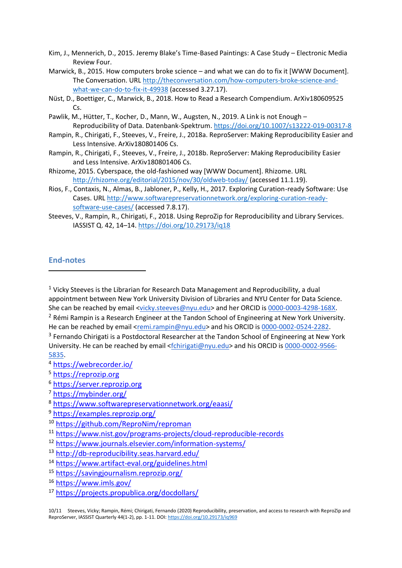- Kim, J., Mennerich, D., 2015. Jeremy Blake's Time-Based Paintings: A Case Study Electronic Media Review Four.
- Marwick, B., 2015. How computers broke science and what we can do to fix it [WWW Document]. The Conversation. URL [http://theconversation.com/how-computers-broke-science-and](http://theconversation.com/how-computers-broke-science-and-what-we-can-do-to-fix-it-49938)[what-we-can-do-to-fix-it-49938](http://theconversation.com/how-computers-broke-science-and-what-we-can-do-to-fix-it-49938) (accessed 3.27.17).
- Nüst, D., Boettiger, C., Marwick, B., 2018. How to Read a Research Compendium. ArXiv180609525 Cs.
- Pawlik, M., Hütter, T., Kocher, D., Mann, W., Augsten, N., 2019. A Link is not Enough Reproducibility of Data. Datenbank-Spektrum.<https://doi.org/10.1007/s13222-019-00317-8>
- Rampin, R., Chirigati, F., Steeves, V., Freire, J., 2018a. ReproServer: Making Reproducibility Easier and Less Intensive. ArXiv180801406 Cs.
- Rampin, R., Chirigati, F., Steeves, V., Freire, J., 2018b. ReproServer: Making Reproducibility Easier and Less Intensive. ArXiv180801406 Cs.
- Rhizome, 2015. Cyberspace, the old-fashioned way [WWW Document]. Rhizome. URL <http://rhizome.org/editorial/2015/nov/30/oldweb-today/> (accessed 11.1.19).
- Rios, F., Contaxis, N., Almas, B., Jabloner, P., Kelly, H., 2017. Exploring Curation-ready Software: Use Cases. URL [http://www.softwarepreservationnetwork.org/exploring-curation-ready](http://www.softwarepreservationnetwork.org/exploring-curation-ready-software-use-cases/)[software-use-cases/](http://www.softwarepreservationnetwork.org/exploring-curation-ready-software-use-cases/) (accessed 7.8.17).
- Steeves, V., Rampin, R., Chirigati, F., 2018. Using ReproZip for Reproducibility and Library Services. IASSIST Q. 42, 14–14.<https://doi.org/10.29173/iq18>

## **End-notes**

 $1$  Vicky Steeves is the Librarian for Research Data Management and Reproducibility, a dual appointment between New York University Division of Libraries and NYU Center for Data Science. She can be reached by email [<vicky.steeves@nyu.edu>](mailto:vicky.steeves@nyu.edu) and her ORCID is [0000-0003-4298-168X.](https://orcid.org/0000-0003-4298-168X) <sup>2</sup> Rémi Rampin is a Research Engineer at the Tandon School of Engineering at New York University. He can be reached by email [<remi.rampin@nyu.edu>](mailto:remi.rampin@nyu.edu) and his ORCID is [0000-0002-0524-2282.](https://orcid.org/0000-0002-0524-2282)

<sup>3</sup> Fernando Chirigati is a Postdoctoral Researcher at the Tandon School of Engineering at New York University. He can be reached by email [<fchirigati@nyu.edu>](mailto:fchirigati@nyu.edu) and his ORCID is [0000-0002-9566-](https://orcid.org/0000-0002-9566-5835) [5835.](https://orcid.org/0000-0002-9566-5835)

<sup>4</sup> <https://webrecorder.io/>

- <sup>5</sup> [https://reprozip.org](https://reprozip.org/)
- <sup>6</sup> [https://server.reprozip.org](https://server.reprozip.org/)
- <sup>7</sup> <https://mybinder.org/>
- <sup>8</sup> <https://www.softwarepreservationnetwork.org/eaasi/>
- <sup>9</sup> <https://examples.reprozip.org/>
- <sup>10</sup> <https://github.com/ReproNim/reproman>
- <sup>11</sup> <https://www.nist.gov/programs-projects/cloud-reproducible-records>
- <sup>12</sup> <https://www.journals.elsevier.com/information-systems/>
- <sup>13</sup> <http://db-reproducibility.seas.harvard.edu/>
- <sup>14</sup> <https://www.artifact-eval.org/guidelines.html>
- <sup>15</sup> <https://savingjournalism.reprozip.org/>
- <sup>16</sup> <https://www.imls.gov/>
- <sup>17</sup> <https://projects.propublica.org/docdollars/>